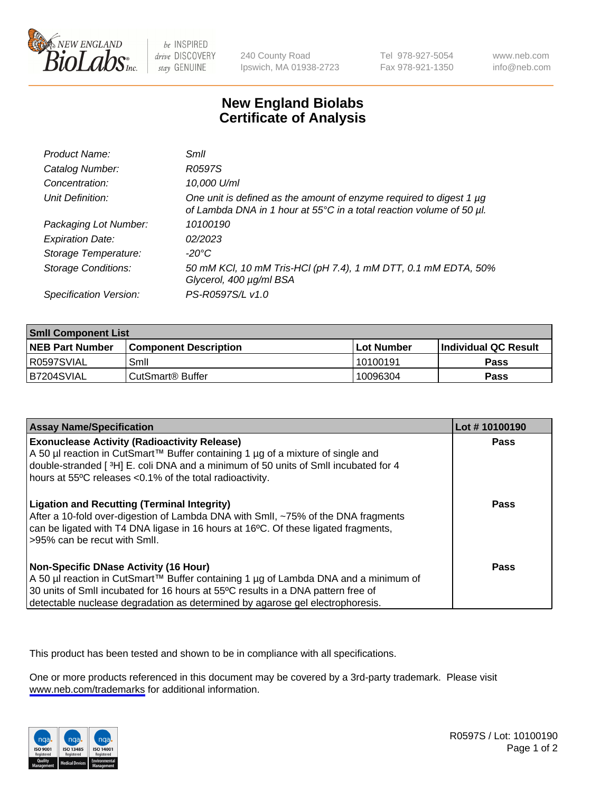

be INSPIRED drive DISCOVERY stay GENUINE

240 County Road Ipswich, MA 01938-2723 Tel 978-927-5054 Fax 978-921-1350

www.neb.com info@neb.com

## **New England Biolabs Certificate of Analysis**

| Product Name:              | Smil                                                                                                                                        |
|----------------------------|---------------------------------------------------------------------------------------------------------------------------------------------|
| Catalog Number:            | R0597S                                                                                                                                      |
| Concentration:             | 10,000 U/ml                                                                                                                                 |
| Unit Definition:           | One unit is defined as the amount of enzyme required to digest 1 µg<br>of Lambda DNA in 1 hour at 55°C in a total reaction volume of 50 µl. |
| Packaging Lot Number:      | 10100190                                                                                                                                    |
| <b>Expiration Date:</b>    | 02/2023                                                                                                                                     |
| Storage Temperature:       | -20°C                                                                                                                                       |
| <b>Storage Conditions:</b> | 50 mM KCl, 10 mM Tris-HCl (pH 7.4), 1 mM DTT, 0.1 mM EDTA, 50%<br>Glycerol, 400 µg/ml BSA                                                   |
| Specification Version:     | PS-R0597S/L v1.0                                                                                                                            |

| <b>Smil Component List</b> |                              |              |                             |  |
|----------------------------|------------------------------|--------------|-----------------------------|--|
| <b>NEB Part Number</b>     | <b>Component Description</b> | l Lot Number | <b>Individual QC Result</b> |  |
| R0597SVIAL                 | Smil                         | 10100191     | Pass                        |  |
| B7204SVIAL                 | l CutSmart® Buffer           | 10096304     | Pass                        |  |

| <b>Assay Name/Specification</b>                                                                                                                                                                                                                                                                          | Lot #10100190 |
|----------------------------------------------------------------------------------------------------------------------------------------------------------------------------------------------------------------------------------------------------------------------------------------------------------|---------------|
| <b>Exonuclease Activity (Radioactivity Release)</b><br>A 50 µl reaction in CutSmart™ Buffer containing 1 µg of a mixture of single and<br>double-stranded [3H] E. coli DNA and a minimum of 50 units of SmII incubated for 4<br>hours at 55°C releases <0.1% of the total radioactivity.                 | Pass          |
| <b>Ligation and Recutting (Terminal Integrity)</b><br>After a 10-fold over-digestion of Lambda DNA with Smll, ~75% of the DNA fragments<br>can be ligated with T4 DNA ligase in 16 hours at 16°C. Of these ligated fragments,<br>>95% can be recut with Smll.                                            | Pass          |
| <b>Non-Specific DNase Activity (16 Hour)</b><br>A 50 µl reaction in CutSmart™ Buffer containing 1 µg of Lambda DNA and a minimum of<br>30 units of Smll incubated for 16 hours at 55°C results in a DNA pattern free of<br>detectable nuclease degradation as determined by agarose gel electrophoresis. | <b>Pass</b>   |

This product has been tested and shown to be in compliance with all specifications.

One or more products referenced in this document may be covered by a 3rd-party trademark. Please visit <www.neb.com/trademarks>for additional information.